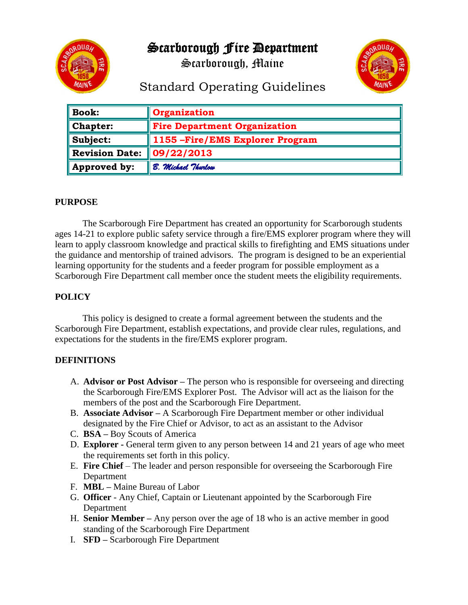Scarborough Fire Department



Scarborough, Maine



# Standard Operating Guidelines

| <b>Book:</b>          | Organization                        |
|-----------------------|-------------------------------------|
| Chapter:              | <b>Fire Department Organization</b> |
| Subject:              | 1155 - Fire/EMS Explorer Program    |
| <b>Revision Date:</b> | 09/22/2013                          |
| Approved by:          | B. Michael Thurlow                  |

## **PURPOSE**

The Scarborough Fire Department has created an opportunity for Scarborough students ages 14-21 to explore public safety service through a fire/EMS explorer program where they will learn to apply classroom knowledge and practical skills to firefighting and EMS situations under the guidance and mentorship of trained advisors. The program is designed to be an experiential learning opportunity for the students and a feeder program for possible employment as a Scarborough Fire Department call member once the student meets the eligibility requirements.

# **POLICY**

This policy is designed to create a formal agreement between the students and the Scarborough Fire Department, establish expectations, and provide clear rules, regulations, and expectations for the students in the fire/EMS explorer program.

#### **DEFINITIONS**

- A. **Advisor or Post Advisor –** The person who is responsible for overseeing and directing the Scarborough Fire/EMS Explorer Post. The Advisor will act as the liaison for the members of the post and the Scarborough Fire Department.
- B. **Associate Advisor –** A Scarborough Fire Department member or other individual designated by the Fire Chief or Advisor, to act as an assistant to the Advisor
- C. **BSA –** Boy Scouts of America
- D. **Explorer -** General term given to any person between 14 and 21 years of age who meet the requirements set forth in this policy.
- E. **Fire Chief** The leader and person responsible for overseeing the Scarborough Fire Department
- F. **MBL –** Maine Bureau of Labor
- G. **Officer**  Any Chief, Captain or Lieutenant appointed by the Scarborough Fire Department
- H. **Senior Member –** Any person over the age of 18 who is an active member in good standing of the Scarborough Fire Department
- I. **SFD –** Scarborough Fire Department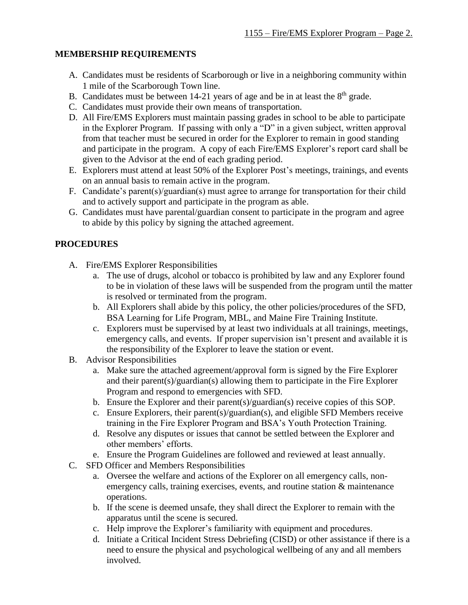#### **MEMBERSHIP REQUIREMENTS**

- A. Candidates must be residents of Scarborough or live in a neighboring community within 1 mile of the Scarborough Town line.
- B. Candidates must be between 14-21 years of age and be in at least the  $8<sup>th</sup>$  grade.
- C. Candidates must provide their own means of transportation.
- D. All Fire/EMS Explorers must maintain passing grades in school to be able to participate in the Explorer Program. If passing with only a "D" in a given subject, written approval from that teacher must be secured in order for the Explorer to remain in good standing and participate in the program. A copy of each Fire/EMS Explorer's report card shall be given to the Advisor at the end of each grading period.
- E. Explorers must attend at least 50% of the Explorer Post's meetings, trainings, and events on an annual basis to remain active in the program.
- F. Candidate's parent(s)/guardian(s) must agree to arrange for transportation for their child and to actively support and participate in the program as able.
- G. Candidates must have parental/guardian consent to participate in the program and agree to abide by this policy by signing the attached agreement.

## **PROCEDURES**

- A. Fire/EMS Explorer Responsibilities
	- a. The use of drugs, alcohol or tobacco is prohibited by law and any Explorer found to be in violation of these laws will be suspended from the program until the matter is resolved or terminated from the program.
	- b. All Explorers shall abide by this policy, the other policies/procedures of the SFD, BSA Learning for Life Program, MBL, and Maine Fire Training Institute.
	- c. Explorers must be supervised by at least two individuals at all trainings, meetings, emergency calls, and events. If proper supervision isn't present and available it is the responsibility of the Explorer to leave the station or event.
- B. Advisor Responsibilities
	- a. Make sure the attached agreement/approval form is signed by the Fire Explorer and their parent(s)/guardian(s) allowing them to participate in the Fire Explorer Program and respond to emergencies with SFD.
	- b. Ensure the Explorer and their parent(s)/guardian(s) receive copies of this SOP.
	- c. Ensure Explorers, their parent(s)/guardian(s), and eligible SFD Members receive training in the Fire Explorer Program and BSA's Youth Protection Training.
	- d. Resolve any disputes or issues that cannot be settled between the Explorer and other members' efforts.
	- e. Ensure the Program Guidelines are followed and reviewed at least annually.
- C. SFD Officer and Members Responsibilities
	- a. Oversee the welfare and actions of the Explorer on all emergency calls, nonemergency calls, training exercises, events, and routine station & maintenance operations.
	- b. If the scene is deemed unsafe, they shall direct the Explorer to remain with the apparatus until the scene is secured.
	- c. Help improve the Explorer's familiarity with equipment and procedures.
	- d. Initiate a Critical Incident Stress Debriefing (CISD) or other assistance if there is a need to ensure the physical and psychological wellbeing of any and all members involved.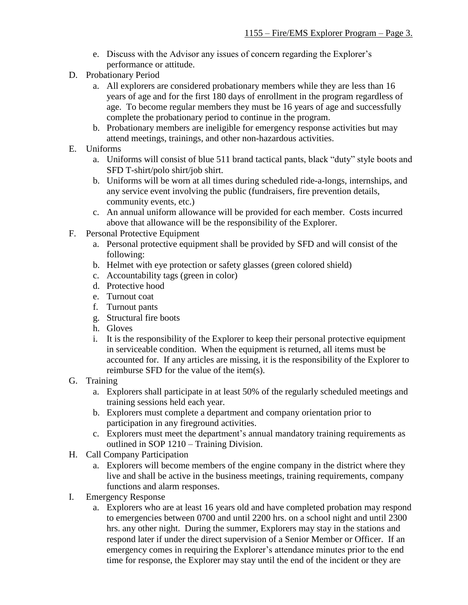- e. Discuss with the Advisor any issues of concern regarding the Explorer's performance or attitude.
- D. Probationary Period
	- a. All explorers are considered probationary members while they are less than 16 years of age and for the first 180 days of enrollment in the program regardless of age. To become regular members they must be 16 years of age and successfully complete the probationary period to continue in the program.
	- b. Probationary members are ineligible for emergency response activities but may attend meetings, trainings, and other non-hazardous activities.
- E. Uniforms
	- a. Uniforms will consist of blue 511 brand tactical pants, black "duty" style boots and SFD T-shirt/polo shirt/job shirt.
	- b. Uniforms will be worn at all times during scheduled ride-a-longs, internships, and any service event involving the public (fundraisers, fire prevention details, community events, etc.)
	- c. An annual uniform allowance will be provided for each member. Costs incurred above that allowance will be the responsibility of the Explorer.
- F. Personal Protective Equipment
	- a. Personal protective equipment shall be provided by SFD and will consist of the following:
	- b. Helmet with eye protection or safety glasses (green colored shield)
	- c. Accountability tags (green in color)
	- d. Protective hood
	- e. Turnout coat
	- f. Turnout pants
	- g. Structural fire boots
	- h. Gloves
	- i. It is the responsibility of the Explorer to keep their personal protective equipment in serviceable condition. When the equipment is returned, all items must be accounted for. If any articles are missing, it is the responsibility of the Explorer to reimburse SFD for the value of the item(s).
- G. Training
	- a. Explorers shall participate in at least 50% of the regularly scheduled meetings and training sessions held each year.
	- b. Explorers must complete a department and company orientation prior to participation in any fireground activities.
	- c. Explorers must meet the department's annual mandatory training requirements as outlined in SOP 1210 – Training Division.
- H. Call Company Participation
	- a. Explorers will become members of the engine company in the district where they live and shall be active in the business meetings, training requirements, company functions and alarm responses.
- I. Emergency Response
	- a. Explorers who are at least 16 years old and have completed probation may respond to emergencies between 0700 and until 2200 hrs. on a school night and until 2300 hrs. any other night. During the summer, Explorers may stay in the stations and respond later if under the direct supervision of a Senior Member or Officer. If an emergency comes in requiring the Explorer's attendance minutes prior to the end time for response, the Explorer may stay until the end of the incident or they are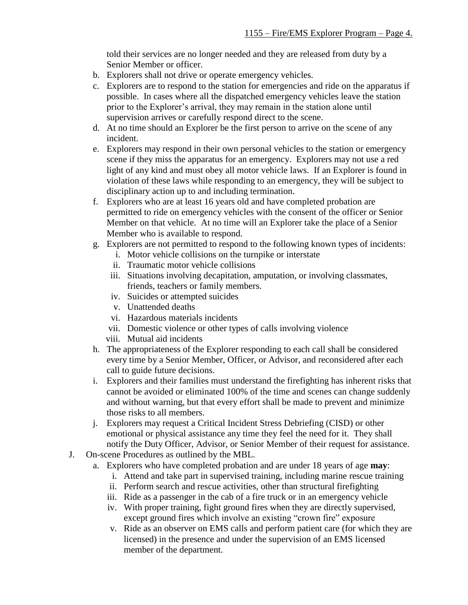told their services are no longer needed and they are released from duty by a Senior Member or officer.

- b. Explorers shall not drive or operate emergency vehicles.
- c. Explorers are to respond to the station for emergencies and ride on the apparatus if possible. In cases where all the dispatched emergency vehicles leave the station prior to the Explorer's arrival, they may remain in the station alone until supervision arrives or carefully respond direct to the scene.
- d. At no time should an Explorer be the first person to arrive on the scene of any incident.
- e. Explorers may respond in their own personal vehicles to the station or emergency scene if they miss the apparatus for an emergency. Explorers may not use a red light of any kind and must obey all motor vehicle laws. If an Explorer is found in violation of these laws while responding to an emergency, they will be subject to disciplinary action up to and including termination.
- f. Explorers who are at least 16 years old and have completed probation are permitted to ride on emergency vehicles with the consent of the officer or Senior Member on that vehicle. At no time will an Explorer take the place of a Senior Member who is available to respond.
- g. Explorers are not permitted to respond to the following known types of incidents:
	- i. Motor vehicle collisions on the turnpike or interstate
	- ii. Traumatic motor vehicle collisions
	- iii. Situations involving decapitation, amputation, or involving classmates, friends, teachers or family members.
	- iv. Suicides or attempted suicides
	- v. Unattended deaths
	- vi. Hazardous materials incidents
	- vii. Domestic violence or other types of calls involving violence
	- viii. Mutual aid incidents
- h. The appropriateness of the Explorer responding to each call shall be considered every time by a Senior Member, Officer, or Advisor, and reconsidered after each call to guide future decisions.
- i. Explorers and their families must understand the firefighting has inherent risks that cannot be avoided or eliminated 100% of the time and scenes can change suddenly and without warning, but that every effort shall be made to prevent and minimize those risks to all members.
- j. Explorers may request a Critical Incident Stress Debriefing (CISD) or other emotional or physical assistance any time they feel the need for it. They shall notify the Duty Officer, Advisor, or Senior Member of their request for assistance.
- J. On-scene Procedures as outlined by the MBL.
	- a. Explorers who have completed probation and are under 18 years of age **may**:
		- i. Attend and take part in supervised training, including marine rescue training
		- ii. Perform search and rescue activities, other than structural firefighting
		- iii. Ride as a passenger in the cab of a fire truck or in an emergency vehicle
		- iv. With proper training, fight ground fires when they are directly supervised, except ground fires which involve an existing "crown fire" exposure
		- v. Ride as an observer on EMS calls and perform patient care (for which they are licensed) in the presence and under the supervision of an EMS licensed member of the department.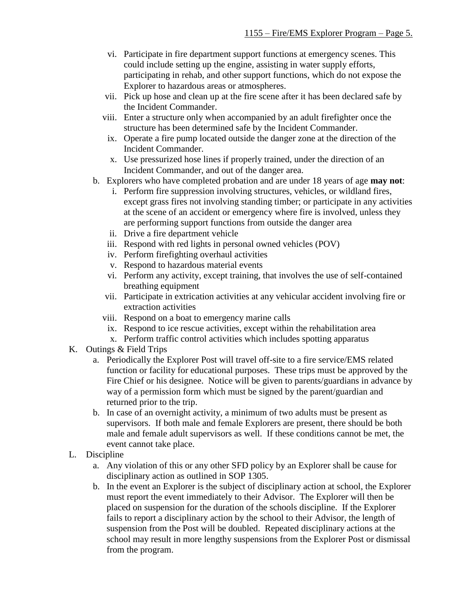- vi. Participate in fire department support functions at emergency scenes. This could include setting up the engine, assisting in water supply efforts, participating in rehab, and other support functions, which do not expose the Explorer to hazardous areas or atmospheres.
- vii. Pick up hose and clean up at the fire scene after it has been declared safe by the Incident Commander.
- viii. Enter a structure only when accompanied by an adult firefighter once the structure has been determined safe by the Incident Commander.
- ix. Operate a fire pump located outside the danger zone at the direction of the Incident Commander.
- x. Use pressurized hose lines if properly trained, under the direction of an Incident Commander, and out of the danger area.
- b. Explorers who have completed probation and are under 18 years of age **may not**:
	- i. Perform fire suppression involving structures, vehicles, or wildland fires, except grass fires not involving standing timber; or participate in any activities at the scene of an accident or emergency where fire is involved, unless they are performing support functions from outside the danger area
	- ii. Drive a fire department vehicle
	- iii. Respond with red lights in personal owned vehicles (POV)
	- iv. Perform firefighting overhaul activities
	- v. Respond to hazardous material events
	- vi. Perform any activity, except training, that involves the use of self-contained breathing equipment
	- vii. Participate in extrication activities at any vehicular accident involving fire or extraction activities
	- viii. Respond on a boat to emergency marine calls
	- ix. Respond to ice rescue activities, except within the rehabilitation area
	- x. Perform traffic control activities which includes spotting apparatus
- K. Outings & Field Trips
	- a. Periodically the Explorer Post will travel off-site to a fire service/EMS related function or facility for educational purposes. These trips must be approved by the Fire Chief or his designee. Notice will be given to parents/guardians in advance by way of a permission form which must be signed by the parent/guardian and returned prior to the trip.
	- b. In case of an overnight activity, a minimum of two adults must be present as supervisors. If both male and female Explorers are present, there should be both male and female adult supervisors as well. If these conditions cannot be met, the event cannot take place.
- L. Discipline
	- a. Any violation of this or any other SFD policy by an Explorer shall be cause for disciplinary action as outlined in SOP 1305.
	- b. In the event an Explorer is the subject of disciplinary action at school, the Explorer must report the event immediately to their Advisor. The Explorer will then be placed on suspension for the duration of the schools discipline. If the Explorer fails to report a disciplinary action by the school to their Advisor, the length of suspension from the Post will be doubled. Repeated disciplinary actions at the school may result in more lengthy suspensions from the Explorer Post or dismissal from the program.